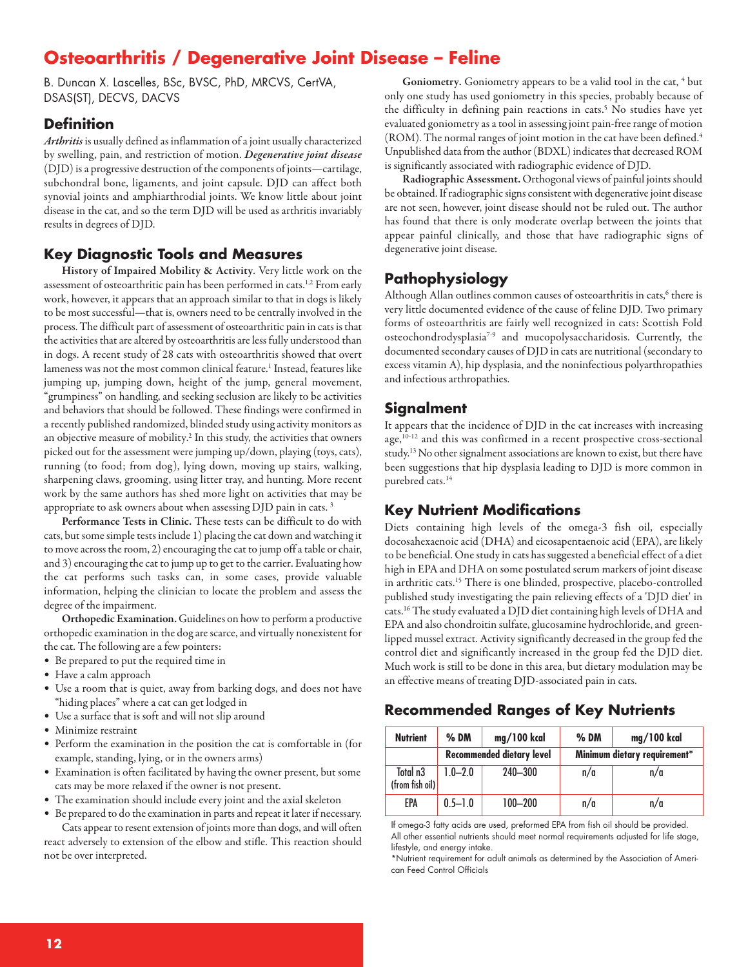# **Osteoarthritis / Degenerative Joint Disease – Feline**

B. Duncan X. Lascelles, BSc, BVSC, PhD, MRCVS, CertVA, DSAS(ST), DECVS, DACVS

#### **Definition**

Arthritis is usually defined as inflammation of a joint usually characterized by swelling, pain, and restriction of motion. *Degenerative joint disease* (DJD) is a progressive destruction of the components of joints—cartilage, subchondral bone, ligaments, and joint capsule. DJD can affect both synovial joints and amphiarthrodial joints. We know little about joint disease in the cat, and so the term DJD will be used as arthritis invariably results in degrees of DJD.

## **Key Diagnostic Tools and Measures**

**History of Impaired Mobility & Activity**. Very little work on the assessment of osteoarthritic pain has been performed in cats.<sup>1,2</sup> From early work, however, it appears that an approach similar to that in dogs is likely to be most successful—that is, owners need to be centrally involved in the process. The difficult part of assessment of osteoarthritic pain in cats is that the activities that are altered by osteoarthritis are less fully understood than in dogs. A recent study of 28 cats with osteoarthritis showed that overt lameness was not the most common clinical feature.<sup>1</sup> Instead, features like jumping up, jumping down, height of the jump, general movement, "grumpiness" on handling, and seeking seclusion are likely to be activities and behaviors that should be followed. These findings were confirmed in a recently published randomized, blinded study using activity monitors as an objective measure of mobility. <sup>2</sup> In this study, the activities that owners picked out for the assessment were jumping up/down, playing (toys, cats), running (to food; from dog), lying down, moving up stairs, walking, sharpening claws, grooming, using litter tray, and hunting. More recent work by the same authors has shed more light on activities that may be appropriate to ask owners about when assessing DJD pain in cats. <sup>3</sup>

**Performance Tests in Clinic.** These tests can be difficult to do with cats, but some simple tests include 1) placing the cat down and watching it to move across the room, 2) encouraging the cat to jump off a table or chair, and 3) encouraging the cat to jump up to get to the carrier. Evaluating how the cat performs such tasks can, in some cases, provide valuable information, helping the clinician to locate the problem and assess the degree of the impairment.

**Orthopedic Examination.** Guidelines on howto perform a productive orthopedic examination in the dog are scarce, and virtually nonexistent for the cat. The following are a few pointers:

- Be prepared to put the required time in
- Have a calm approach
- Use a room that is quiet, away from barking dogs, and does not have "hiding places" where a cat can get lodged in
- Use a surface that is soft and will not slip around
- Minimize restraint
- Perform the examination in the position the cat is comfortable in (for example, standing, lying, or in the owners arms)
- Examination is often facilitated by having the owner present, but some cats may be more relaxed if the owner is not present.
- The examination should include every joint and the axial skeleton

• Be prepared to do the examination in parts and repeat it later if necessary. Cats appear to resent extension of joints more than dogs, and will often

react adversely to extension of the elbow and stifle. This reaction should not be over interpreted.

Goniometry. Goniometry appears to be a valid tool in the cat, <sup>4</sup> but only one study has used goniometry in this species, probably because of the difficulty in defining pain reactions in cats. <sup>5</sup> No studies have yet evaluated goniometry as a tool in assessing joint pain-free range of motion (ROM). The normal ranges of joint motion in the cat have been defined.<sup>4</sup> Unpublished data from the author (BDXL) indicates that decreased ROM is significantly associated with radiographic evidence of DJD.

**RadiographicAssessment.** Orthogonal views of painful joints should be obtained. If radiographic signs consistent with degenerative joint disease are not seen, however, joint disease should not be ruled out. The author has found that there is only moderate overlap between the joints that appear painful clinically, and those that have radiographic signs of degenerative joint disease.

## **Pathophysiology**

Although Allan outlines common causes of osteoarthritis in cats, <sup>6</sup> there is very little documented evidence of the cause of feline DJD. Two primary forms of osteoarthritis are fairly well recognized in cats: Scottish Fold osteochondrodysplasia7-9 and mucopolysaccharidosis. Currently, the documented secondary causes of DJD in catsare nutritional(secondary to excess vitamin A), hip dysplasia, and the noninfectious polyarthropathies and infectious arthropathies.

#### **Signalment**

It appears that the incidence of DJD in the cat increases with increasing age, 10-12 and this was confirmed in a recent prospective cross-sectional study.<sup>13</sup> No other signalment associations are known to exist, but there have been suggestions that hip dysplasia leading to DJD is more common in purebred cats. 14

## **Key Nutrient Modifications**

Diets containing high levels of the omega-3 fish oil, especially docosahexaenoic acid (DHA) and eicosapentaenoic acid (EPA), are likely to be beneficial. One study in cats has suggested a beneficial effect of a diet high in EPA and DHA on some postulated serum markers of joint disease in arthritic cats. <sup>15</sup> There is one blinded, prospective, placebo-controlled published study investigating the pain relieving effects of a 'DJD diet' in cats.<sup>16</sup> The study evaluated a DJD diet containing high levels of DHA and EPA and also chondroitin sulfate, glucosamine hydrochloride, and greenlipped mussel extract. Activity significantly decreased in the group fed the control diet and significantly increased in the group fed the DJD diet. Much work is still to be done in this area, but dietary modulation may be an effective means of treating DJD-associated pain in cats.

## **Recommended Ranges of Key Nutrients**

| <b>Nutrient</b>                         | $%$ DM                           | mg/100 kcal | $%$ DM                       | mg/100 kcal |
|-----------------------------------------|----------------------------------|-------------|------------------------------|-------------|
|                                         | <b>Recommended dietary level</b> |             | Minimum dietary requirement* |             |
| Total n <sub>3</sub><br>(from fish oil) | $1.0 - 2.0$                      | $240 - 300$ | n/a                          | n/a         |
| EPA                                     | $0.5 - 1.0$                      | $100 - 200$ | n/a                          | n/a         |

If omega-3 fatty acids are used, preformed EPA from fish oil should be provided. All other essential nutrients should meet normal requirements adjusted for life stage, lifestyle, and energy intake.

\*Nutrient requirement for adult animals as determined by the Association of American Feed Control Officials